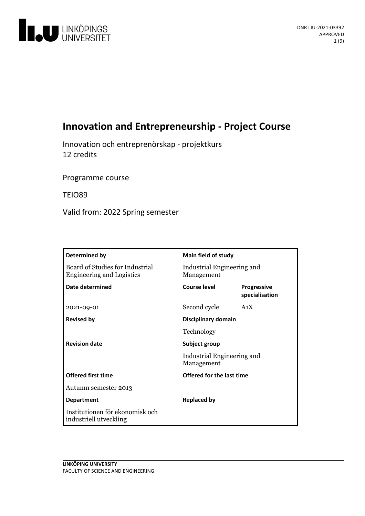

# **Innovation and Entrepreneurship - Project Course**

Innovation och entreprenörskap - projektkurs 12 credits

Programme course

TEIO89

Valid from: 2022 Spring semester

| Determined by                                                       | Main field of study                                       |                                      |
|---------------------------------------------------------------------|-----------------------------------------------------------|--------------------------------------|
| Board of Studies for Industrial<br><b>Engineering and Logistics</b> | Industrial Engineering and<br>Management                  |                                      |
| Date determined                                                     | Course level                                              | <b>Progressive</b><br>specialisation |
| 2021-09-01                                                          | Second cycle                                              | A <sub>1</sub> X                     |
| <b>Revised by</b>                                                   | Disciplinary domain                                       |                                      |
|                                                                     | Technology                                                |                                      |
| <b>Revision date</b>                                                | Subject group<br>Industrial Engineering and<br>Management |                                      |
|                                                                     |                                                           |                                      |
| <b>Offered first time</b>                                           | Offered for the last time                                 |                                      |
| Autumn semester 2013                                                |                                                           |                                      |
| <b>Department</b>                                                   | <b>Replaced by</b>                                        |                                      |
| Institutionen för ekonomisk och<br>industriell utveckling           |                                                           |                                      |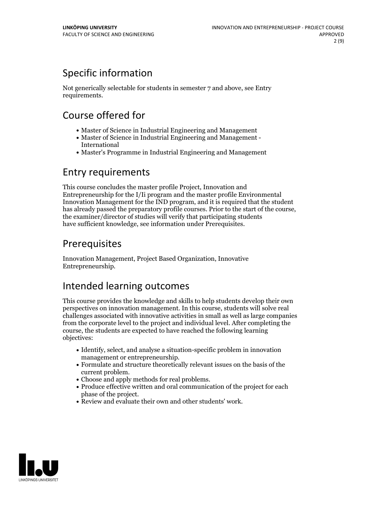# Specific information

Not generically selectable for students in semester 7 and above, see Entry requirements.

# Course offered for

- Master of Science in Industrial Engineering and Management
- Master of Science in Industrial Engineering and Management International
- Master's Programme in Industrial Engineering and Management

# Entry requirements

This course concludes the master profile Project, Innovation and Entrepreneurship for the I/Ii program and the master profile Environmental Innovation Management for the IND program, and it is required that the student has already passed the preparatory profile courses. Prior to the start of the course, the examiner/director of studies will verify that participating students have sufficient knowledge, see information under Prerequisites.

# **Prerequisites**

Innovation Management, Project Based Organization, Innovative Entrepreneurship.

# Intended learning outcomes

This course provides the knowledge and skills to help students develop their own perspectives on innovation management. In this course, students will solve real challenges associated with innovative activities in small as well as large companies from the corporate level to the project and individual level. After completing the course, the students are expected to have reached the following learning objectives:

- Identify, select, and analyse a situation-specific problem in innovation management or entrepreneurship.<br>• Formulate and structure theoretically relevant issues on the basis of the
- current problem.<br>• Choose and apply methods for real problems.<br>• Produce effective written and oral communication of the project for each
- 
- phase of the project.<br>• Review and evaluate their own and other students' work.
- 

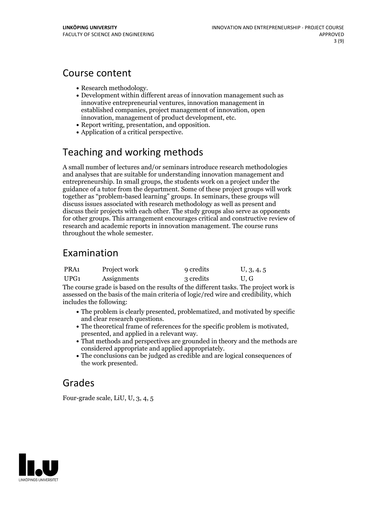# Course content

- 
- Research methodology.<br>• Development within different areas of innovation management such as innovative entrepreneurial ventures, innovation management in established companies, project management of innovation, open innovation, management of product development, etc.<br>• Report writing, presentation, and opposition.<br>• Application of a critical perspective.
- 
- 

# Teaching and working methods

A small number of lectures and/or seminars introduce research methodologies and analyses that are suitable for understanding innovation management and entrepreneurship. In small groups, the students work on a project under the guidance of a tutor from the department. Some ofthese project groups will work together as "problem-based learning" groups. In seminars, these groups will discuss issues associated with research methodology as well as present and discuss their projects with each other. The study groups also serve as opponents for other groups. This arrangement encourages critical and constructive review of research and academic reports in innovation management. The course runs throughout the whole semester.

# Examination

| PRA <sub>1</sub> | Project work | 9 credits | U, 3, 4, 5 |
|------------------|--------------|-----------|------------|
| UPG <sub>1</sub> | Assignments  | 3 credits | U, G       |

The course grade is based on the results of the different tasks. The project work is assessed on the basis of the main criteria of logic/red wire and credibility, which includes the following:

- The problem is clearly presented, problematized, and motivated by specific
- The theoretical frame of references for the specific problem is motivated, presented, and applied in a relevant way. <br>• That methods and perspectives are grounded in theory and the methods are
- considered appropriate and applied appropriately. The conclusions can be judged as credible and are logical consequences of
- the work presented.

# Grades

Four-grade scale, LiU, U, 3, 4, 5

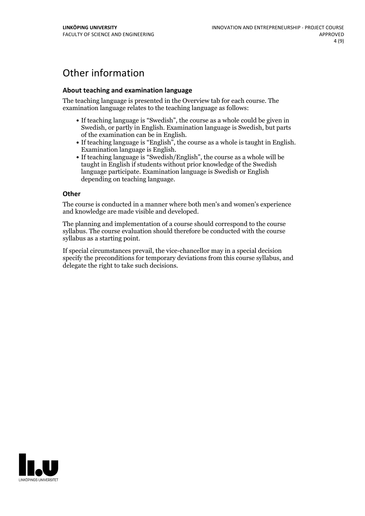# Other information

### **About teaching and examination language**

The teaching language is presented in the Overview tab for each course. The examination language relates to the teaching language as follows:

- If teaching language is "Swedish", the course as a whole could be given in Swedish, or partly in English. Examination language is Swedish, but parts
- of the examination can be in English. If teaching language is "English", the course as <sup>a</sup> whole is taught in English. Examination language is English. If teaching language is "Swedish/English", the course as <sup>a</sup> whole will be
- taught in English if students without prior knowledge of the Swedish language participate. Examination language is Swedish or English depending on teaching language.

#### **Other**

The course is conducted in a manner where both men's and women's experience and knowledge are made visible and developed.

The planning and implementation of a course should correspond to the course syllabus. The course evaluation should therefore be conducted with the course syllabus as a starting point.

If special circumstances prevail, the vice-chancellor may in a special decision specify the preconditions for temporary deviations from this course syllabus, and delegate the right to take such decisions.

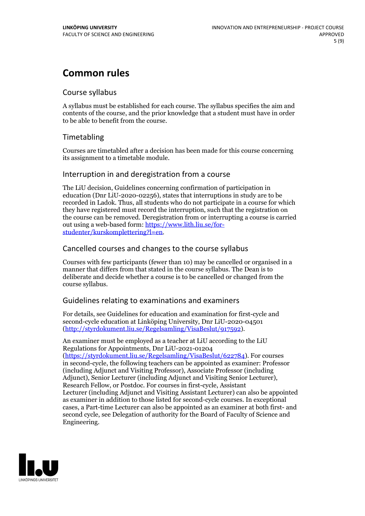# **Common rules**

### Course syllabus

A syllabus must be established for each course. The syllabus specifies the aim and contents of the course, and the prior knowledge that a student must have in order to be able to benefit from the course.

## Timetabling

Courses are timetabled after a decision has been made for this course concerning its assignment to a timetable module.

### Interruption in and deregistration from a course

The LiU decision, Guidelines concerning confirmation of participation in education (Dnr LiU-2020-02256), states that interruptions in study are to be recorded in Ladok. Thus, all students who do not participate in a course for which they have registered must record the interruption, such that the registration on the course can be removed. Deregistration from or interrupting a course is carried out using <sup>a</sup> web-based form: https://www.lith.liu.se/for- [studenter/kurskomplettering?l=en.](https://www.lith.liu.se/for-studenter/kurskomplettering?l=en)

## Cancelled coursesand changes to the course syllabus

Courses with few participants (fewer than 10) may be cancelled or organised in a manner that differs from that stated in the course syllabus. The Dean is to deliberate and decide whether a course is to be cancelled or changed from the course syllabus.

## Guidelines relating to examinations and examiners

For details, see Guidelines for education and examination for first-cycle and second-cycle education at Linköping University, Dnr LiU-2020-04501 [\(http://styrdokument.liu.se/Regelsamling/VisaBeslut/917592\)](http://styrdokument.liu.se/Regelsamling/VisaBeslut/917592).

An examiner must be employed as a teacher at LiU according to the LiU Regulations for Appointments, Dnr LiU-2021-01204 [\(https://styrdokument.liu.se/Regelsamling/VisaBeslut/622784](https://styrdokument.liu.se/Regelsamling/VisaBeslut/622784)). For courses in second-cycle, the following teachers can be appointed as examiner: Professor (including Adjunct and Visiting Professor), Associate Professor (including Adjunct), Senior Lecturer (including Adjunct and Visiting Senior Lecturer), Research Fellow, or Postdoc. For courses in first-cycle, Assistant Lecturer (including Adjunct and Visiting Assistant Lecturer) can also be appointed as examiner in addition to those listed for second-cycle courses. In exceptional cases, a Part-time Lecturer can also be appointed as an examiner at both first- and second cycle, see Delegation of authority for the Board of Faculty of Science and Engineering.

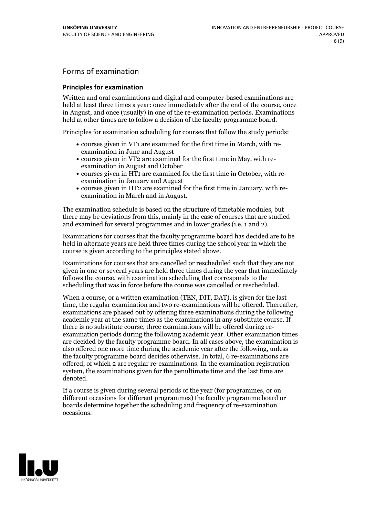# Forms of examination

### **Principles for examination**

Written and oral examinations and digital and computer-based examinations are held at least three times a year: once immediately after the end of the course, once in August, and once (usually) in one of the re-examination periods. Examinations held at other times are to follow a decision of the faculty programme board.

Principles for examination scheduling for courses that follow the study periods:

- courses given in VT1 are examined for the first time in March, with re-examination in June and August
- courses given in VT2 are examined for the first time in May, with re-examination in August and October
- courses given in HT1 are examined for the first time in October, with re-examination in January and August
- courses given in HT2 are examined for the first time in January, with re-examination in March and in August.

The examination schedule is based on the structure of timetable modules, but there may be deviations from this, mainly in the case of courses that are studied and examined for several programmes and in lower grades (i.e. 1 and 2).

Examinations for courses that the faculty programme board has decided are to be held in alternate years are held three times during the school year in which the course is given according to the principles stated above.

Examinations for courses that are cancelled orrescheduled such that they are not given in one or several years are held three times during the year that immediately follows the course, with examination scheduling that corresponds to the scheduling that was in force before the course was cancelled or rescheduled.

When a course, or a written examination (TEN, DIT, DAT), is given for the last time, the regular examination and two re-examinations will be offered. Thereafter, examinations are phased out by offering three examinations during the following academic year at the same times as the examinations in any substitute course. If there is no substitute course, three examinations will be offered during re- examination periods during the following academic year. Other examination times are decided by the faculty programme board. In all cases above, the examination is also offered one more time during the academic year after the following, unless the faculty programme board decides otherwise. In total, 6 re-examinations are offered, of which 2 are regular re-examinations. In the examination registration system, the examinations given for the penultimate time and the last time are denoted.

If a course is given during several periods of the year (for programmes, or on different occasions for different programmes) the faculty programme board or boards determine together the scheduling and frequency of re-examination occasions.

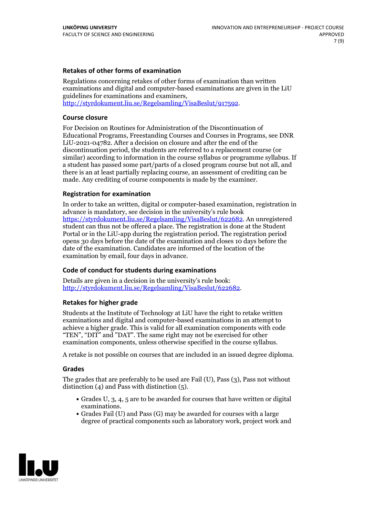### **Retakes of other forms of examination**

Regulations concerning retakes of other forms of examination than written examinations and digital and computer-based examinations are given in the LiU guidelines for examinations and examiners, [http://styrdokument.liu.se/Regelsamling/VisaBeslut/917592.](http://styrdokument.liu.se/Regelsamling/VisaBeslut/917592)

#### **Course closure**

For Decision on Routines for Administration of the Discontinuation of Educational Programs, Freestanding Courses and Courses in Programs, see DNR LiU-2021-04782. After a decision on closure and after the end of the discontinuation period, the students are referred to a replacement course (or similar) according to information in the course syllabus or programme syllabus. If a student has passed some part/parts of a closed program course but not all, and there is an at least partially replacing course, an assessment of crediting can be made. Any crediting of course components is made by the examiner.

### **Registration for examination**

In order to take an written, digital or computer-based examination, registration in advance is mandatory, see decision in the university's rule book [https://styrdokument.liu.se/Regelsamling/VisaBeslut/622682.](https://styrdokument.liu.se/Regelsamling/VisaBeslut/622682) An unregistered student can thus not be offered a place. The registration is done at the Student Portal or in the LiU-app during the registration period. The registration period opens 30 days before the date of the examination and closes 10 days before the date of the examination. Candidates are informed of the location of the examination by email, four days in advance.

### **Code of conduct for students during examinations**

Details are given in a decision in the university's rule book: <http://styrdokument.liu.se/Regelsamling/VisaBeslut/622682>.

#### **Retakes for higher grade**

Students at the Institute of Technology at LiU have the right to retake written examinations and digital and computer-based examinations in an attempt to achieve a higher grade. This is valid for all examination components with code "TEN", "DIT" and "DAT". The same right may not be exercised for other examination components, unless otherwise specified in the course syllabus.

A retake is not possible on courses that are included in an issued degree diploma.

#### **Grades**

The grades that are preferably to be used are Fail (U), Pass (3), Pass not without distinction  $(4)$  and Pass with distinction  $(5)$ .

- Grades U, 3, 4, 5 are to be awarded for courses that have written or digital examinations.<br>• Grades Fail (U) and Pass (G) may be awarded for courses with a large
- degree of practical components such as laboratory work, project work and

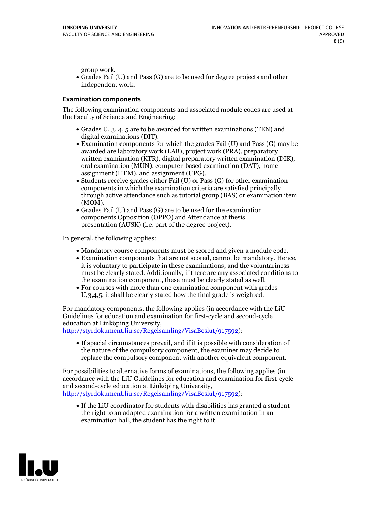group work.<br>• Grades Fail (U) and Pass (G) are to be used for degree projects and other independent work.

### **Examination components**

The following examination components and associated module codes are used at the Faculty of Science and Engineering:

- Grades U, 3, 4, 5 are to be awarded for written examinations (TEN) and
- digital examinations (DIT).<br>• Examination components for which the grades Fail (U) and Pass (G) may be awarded are laboratory work (LAB), project work (PRA), preparatory written examination (KTR), digital preparatory written examination (DIK), oral examination (MUN), computer-based examination (DAT), home
- assignment (HEM), and assignment (UPG).<br>• Students receive grades either Fail (U) or Pass (G) for other examination components in which the examination criteria are satisfied principally through active attendance such as tutorial group (BAS) or examination item
- (MOM).<br>• Grades Fail (U) and Pass (G) are to be used for the examination components Opposition (OPPO) and Attendance at thesis presentation (AUSK) (i.e. part of the degree project).

In general, the following applies:

- 
- Mandatory course components must be scored and given <sup>a</sup> module code. Examination components that are not scored, cannot be mandatory. Hence, it is voluntary to participate in these examinations, and the voluntariness must be clearly stated. Additionally, if there are any associated conditions to
- the examination component, these must be clearly stated as well.<br>• For courses with more than one examination component with grades U,3,4,5, it shall be clearly stated how the final grade is weighted.

For mandatory components, the following applies (in accordance with the LiU Guidelines for education and examination for first-cycle and second-cycle

[http://styrdokument.liu.se/Regelsamling/VisaBeslut/917592\)](http://styrdokument.liu.se/Regelsamling/VisaBeslut/917592):

If special circumstances prevail, and if it is possible with consideration of the nature of the compulsory component, the examiner may decide to replace the compulsory component with another equivalent component.

For possibilities to alternative forms of examinations, the following applies (in accordance with the LiU Guidelines for education and examination for first-cycle [http://styrdokument.liu.se/Regelsamling/VisaBeslut/917592\)](http://styrdokument.liu.se/Regelsamling/VisaBeslut/917592):

If the LiU coordinator for students with disabilities has granted a student the right to an adapted examination for a written examination in an examination hall, the student has the right to it.